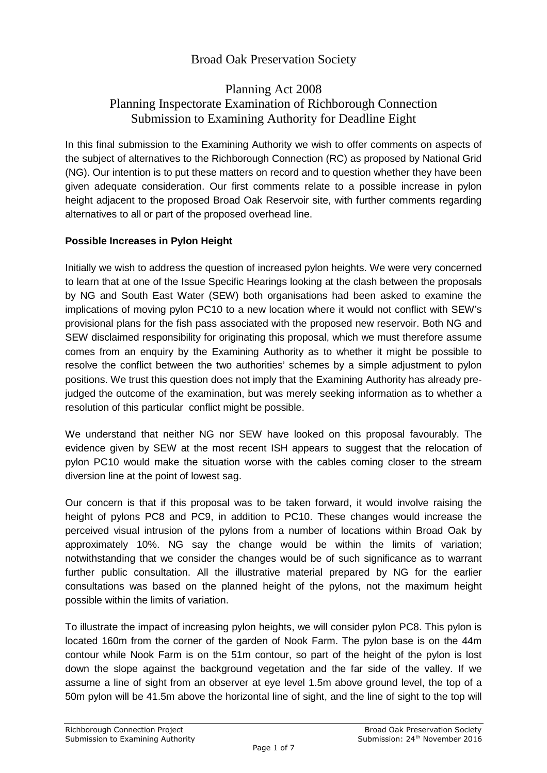# Broad Oak Preservation Society

# Planning Act 2008 Planning Inspectorate Examination of Richborough Connection Submission to Examining Authority for Deadline Eight

In this final submission to the Examining Authority we wish to offer comments on aspects of the subject of alternatives to the Richborough Connection (RC) as proposed by National Grid (NG). Our intention is to put these matters on record and to question whether they have been given adequate consideration. Our first comments relate to a possible increase in pylon height adjacent to the proposed Broad Oak Reservoir site, with further comments regarding alternatives to all or part of the proposed overhead line.

### **Possible Increases in Pylon Height**

Initially we wish to address the question of increased pylon heights. We were very concerned to learn that at one of the Issue Specific Hearings looking at the clash between the proposals by NG and South East Water (SEW) both organisations had been asked to examine the implications of moving pylon PC10 to a new location where it would not conflict with SEW's provisional plans for the fish pass associated with the proposed new reservoir. Both NG and SEW disclaimed responsibility for originating this proposal, which we must therefore assume comes from an enquiry by the Examining Authority as to whether it might be possible to resolve the conflict between the two authorities' schemes by a simple adjustment to pylon positions. We trust this question does not imply that the Examining Authority has already prejudged the outcome of the examination, but was merely seeking information as to whether a resolution of this particular conflict might be possible.

We understand that neither NG nor SEW have looked on this proposal favourably. The evidence given by SEW at the most recent ISH appears to suggest that the relocation of pylon PC10 would make the situation worse with the cables coming closer to the stream diversion line at the point of lowest sag.

Our concern is that if this proposal was to be taken forward, it would involve raising the height of pylons PC8 and PC9, in addition to PC10. These changes would increase the perceived visual intrusion of the pylons from a number of locations within Broad Oak by approximately 10%. NG say the change would be within the limits of variation; notwithstanding that we consider the changes would be of such significance as to warrant further public consultation. All the illustrative material prepared by NG for the earlier consultations was based on the planned height of the pylons, not the maximum height possible within the limits of variation.

To illustrate the impact of increasing pylon heights, we will consider pylon PC8. This pylon is located 160m from the corner of the garden of Nook Farm. The pylon base is on the 44m contour while Nook Farm is on the 51m contour, so part of the height of the pylon is lost down the slope against the background vegetation and the far side of the valley. If we assume a line of sight from an observer at eye level 1.5m above ground level, the top of a 50m pylon will be 41.5m above the horizontal line of sight, and the line of sight to the top will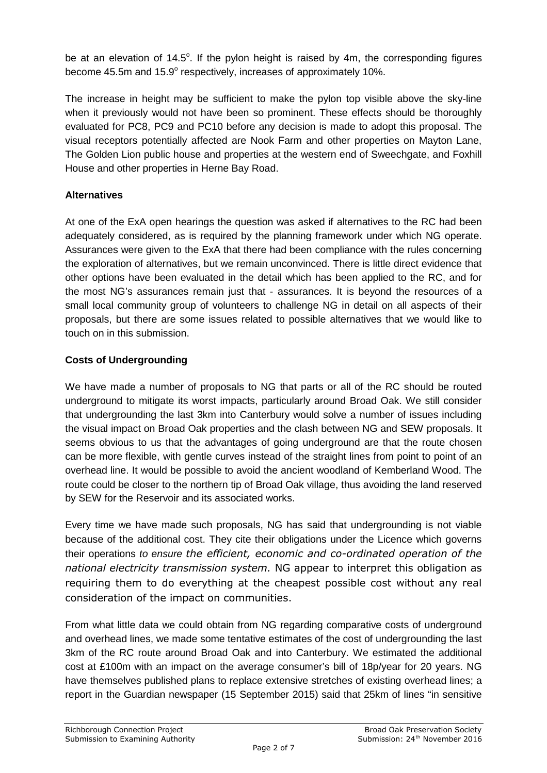be at an elevation of 14.5°. If the pylon height is raised by 4m, the corresponding figures become 45.5m and 15.9° respectively, increases of approximately 10%.

The increase in height may be sufficient to make the pylon top visible above the sky-line when it previously would not have been so prominent. These effects should be thoroughly evaluated for PC8, PC9 and PC10 before any decision is made to adopt this proposal. The visual receptors potentially affected are Nook Farm and other properties on Mayton Lane, The Golden Lion public house and properties at the western end of Sweechgate, and Foxhill House and other properties in Herne Bay Road.

### **Alternatives**

At one of the ExA open hearings the question was asked if alternatives to the RC had been adequately considered, as is required by the planning framework under which NG operate. Assurances were given to the ExA that there had been compliance with the rules concerning the exploration of alternatives, but we remain unconvinced. There is little direct evidence that other options have been evaluated in the detail which has been applied to the RC, and for the most NG's assurances remain just that - assurances. It is beyond the resources of a small local community group of volunteers to challenge NG in detail on all aspects of their proposals, but there are some issues related to possible alternatives that we would like to touch on in this submission.

### **Costs of Undergrounding**

We have made a number of proposals to NG that parts or all of the RC should be routed underground to mitigate its worst impacts, particularly around Broad Oak. We still consider that undergrounding the last 3km into Canterbury would solve a number of issues including the visual impact on Broad Oak properties and the clash between NG and SEW proposals. It seems obvious to us that the advantages of going underground are that the route chosen can be more flexible, with gentle curves instead of the straight lines from point to point of an overhead line. It would be possible to avoid the ancient woodland of Kemberland Wood. The route could be closer to the northern tip of Broad Oak village, thus avoiding the land reserved by SEW for the Reservoir and its associated works.

Every time we have made such proposals, NG has said that undergrounding is not viable because of the additional cost. They cite their obligations under the Licence which governs their operations *to ensure the efficient, economic and co-ordinated operation of the national electricity transmission system.* NG appear to interpret this obligation as requiring them to do everything at the cheapest possible cost without any real consideration of the impact on communities.

From what little data we could obtain from NG regarding comparative costs of underground and overhead lines, we made some tentative estimates of the cost of undergrounding the last 3km of the RC route around Broad Oak and into Canterbury. We estimated the additional cost at £100m with an impact on the average consumer's bill of 18p/year for 20 years. NG have themselves published plans to replace extensive stretches of existing overhead lines; a report in the Guardian newspaper (15 September 2015) said that 25km of lines "in sensitive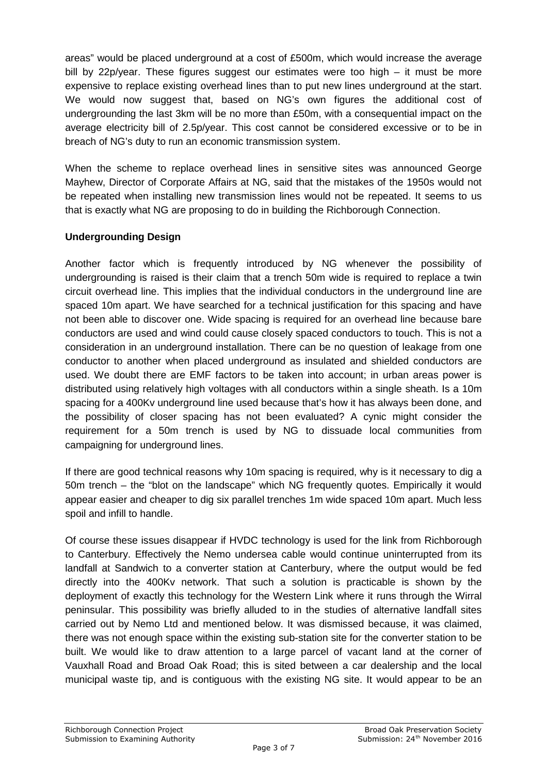areas" would be placed underground at a cost of £500m, which would increase the average bill by 22p/year. These figures suggest our estimates were too high – it must be more expensive to replace existing overhead lines than to put new lines underground at the start. We would now suggest that, based on NG's own figures the additional cost of undergrounding the last 3km will be no more than £50m, with a consequential impact on the average electricity bill of 2.5p/year. This cost cannot be considered excessive or to be in breach of NG's duty to run an economic transmission system.

When the scheme to replace overhead lines in sensitive sites was announced George Mayhew, Director of Corporate Affairs at NG, said that the mistakes of the 1950s would not be repeated when installing new transmission lines would not be repeated. It seems to us that is exactly what NG are proposing to do in building the Richborough Connection.

### **Undergrounding Design**

Another factor which is frequently introduced by NG whenever the possibility of undergrounding is raised is their claim that a trench 50m wide is required to replace a twin circuit overhead line. This implies that the individual conductors in the underground line are spaced 10m apart. We have searched for a technical justification for this spacing and have not been able to discover one. Wide spacing is required for an overhead line because bare conductors are used and wind could cause closely spaced conductors to touch. This is not a consideration in an underground installation. There can be no question of leakage from one conductor to another when placed underground as insulated and shielded conductors are used. We doubt there are EMF factors to be taken into account; in urban areas power is distributed using relatively high voltages with all conductors within a single sheath. Is a 10m spacing for a 400Kv underground line used because that's how it has always been done, and the possibility of closer spacing has not been evaluated? A cynic might consider the requirement for a 50m trench is used by NG to dissuade local communities from campaigning for underground lines.

If there are good technical reasons why 10m spacing is required, why is it necessary to dig a 50m trench – the "blot on the landscape" which NG frequently quotes. Empirically it would appear easier and cheaper to dig six parallel trenches 1m wide spaced 10m apart. Much less spoil and infill to handle.

Of course these issues disappear if HVDC technology is used for the link from Richborough to Canterbury. Effectively the Nemo undersea cable would continue uninterrupted from its landfall at Sandwich to a converter station at Canterbury, where the output would be fed directly into the 400Kv network. That such a solution is practicable is shown by the deployment of exactly this technology for the Western Link where it runs through the Wirral peninsular. This possibility was briefly alluded to in the studies of alternative landfall sites carried out by Nemo Ltd and mentioned below. It was dismissed because, it was claimed, there was not enough space within the existing sub-station site for the converter station to be built. We would like to draw attention to a large parcel of vacant land at the corner of Vauxhall Road and Broad Oak Road; this is sited between a car dealership and the local municipal waste tip, and is contiguous with the existing NG site. It would appear to be an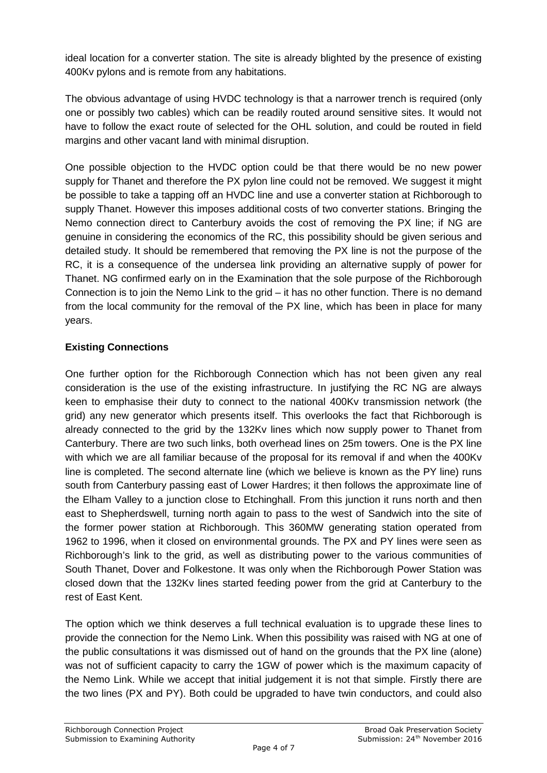ideal location for a converter station. The site is already blighted by the presence of existing 400Kv pylons and is remote from any habitations.

The obvious advantage of using HVDC technology is that a narrower trench is required (only one or possibly two cables) which can be readily routed around sensitive sites. It would not have to follow the exact route of selected for the OHL solution, and could be routed in field margins and other vacant land with minimal disruption.

One possible objection to the HVDC option could be that there would be no new power supply for Thanet and therefore the PX pylon line could not be removed. We suggest it might be possible to take a tapping off an HVDC line and use a converter station at Richborough to supply Thanet. However this imposes additional costs of two converter stations. Bringing the Nemo connection direct to Canterbury avoids the cost of removing the PX line; if NG are genuine in considering the economics of the RC, this possibility should be given serious and detailed study. It should be remembered that removing the PX line is not the purpose of the RC, it is a consequence of the undersea link providing an alternative supply of power for Thanet. NG confirmed early on in the Examination that the sole purpose of the Richborough Connection is to join the Nemo Link to the grid – it has no other function. There is no demand from the local community for the removal of the PX line, which has been in place for many years.

# **Existing Connections**

One further option for the Richborough Connection which has not been given any real consideration is the use of the existing infrastructure. In justifying the RC NG are always keen to emphasise their duty to connect to the national 400Kv transmission network (the grid) any new generator which presents itself. This overlooks the fact that Richborough is already connected to the grid by the 132Kv lines which now supply power to Thanet from Canterbury. There are two such links, both overhead lines on 25m towers. One is the PX line with which we are all familiar because of the proposal for its removal if and when the 400Kv line is completed. The second alternate line (which we believe is known as the PY line) runs south from Canterbury passing east of Lower Hardres; it then follows the approximate line of the Elham Valley to a junction close to Etchinghall. From this junction it runs north and then east to Shepherdswell, turning north again to pass to the west of Sandwich into the site of the former power station at Richborough. This 360MW generating station operated from 1962 to 1996, when it closed on environmental grounds. The PX and PY lines were seen as Richborough's link to the grid, as well as distributing power to the various communities of South Thanet, Dover and Folkestone. It was only when the Richborough Power Station was closed down that the 132Kv lines started feeding power from the grid at Canterbury to the rest of East Kent.

The option which we think deserves a full technical evaluation is to upgrade these lines to provide the connection for the Nemo Link. When this possibility was raised with NG at one of the public consultations it was dismissed out of hand on the grounds that the PX line (alone) was not of sufficient capacity to carry the 1GW of power which is the maximum capacity of the Nemo Link. While we accept that initial judgement it is not that simple. Firstly there are the two lines (PX and PY). Both could be upgraded to have twin conductors, and could also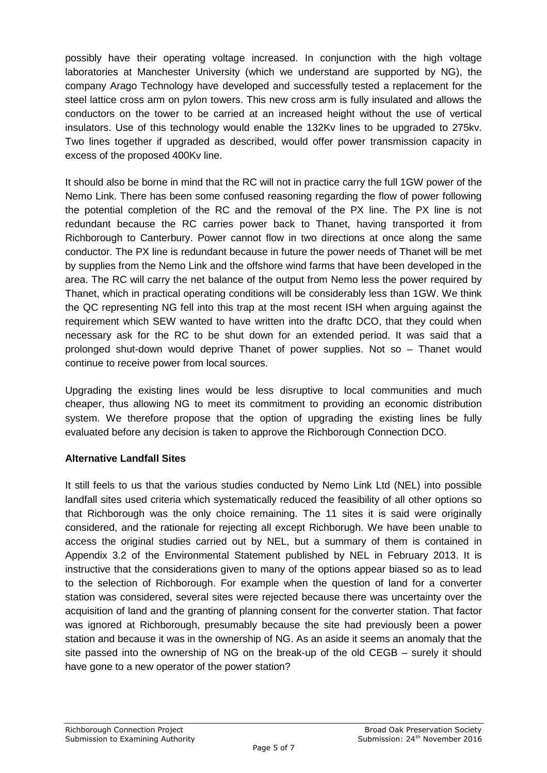possibly have their operating voltage increased. In conjunction with the high voltage laboratories at Manchester University (which we understand are supported by NG), the company Arago Technology have developed and successfully tested a replacement for the steel lattice cross arm on pylon towers. This new cross arm is fully insulated and allows the conductors on the tower to be carried at an increased height without the use of vertical insulators. Use of this technology would enable the 132Kv lines to be upgraded to 275kv. Two lines together if upgraded as described, would offer power transmission capacity in excess of the proposed 400Kv line.

It should also be borne in mind that the RC will not in practice carry the full 1GW power of the Nemo Link. There has been some confused reasoning regarding the flow of power following the potential completion of the RC and the removal of the PX line. The PX line is not redundant because the RC carries power back to Thanet, having transported it from Richborough to Canterbury. Power cannot flow in two directions at once along the same conductor. The PX line is redundant because in future the power needs of Thanet will be met by supplies from the Nemo Link and the offshore wind farms that have been developed in the area. The RC will carry the net balance of the output from Nemo less the power required by Thanet, which in practical operating conditions will be considerably less than 1GW. We think the QC representing NG fell into this trap at the most recent ISH when arguing against the requirement which SEW wanted to have written into the draftc DCO, that they could when necessary ask for the RC to be shut down for an extended period. It was said that a prolonged shut-down would deprive Thanet of power supplies. Not so – Thanet would continue to receive power from local sources.

Upgrading the existing lines would be less disruptive to local communities and much cheaper, thus allowing NG to meet its commitment to providing an economic distribution system. We therefore propose that the option of upgrading the existing lines be fully evaluated before any decision is taken to approve the Richborough Connection DCO.

#### **Alternative Landfall Sites**

It still feels to us that the various studies conducted by Nemo Link Ltd (NEL) into possible landfall sites used criteria which systematically reduced the feasibility of all other options so that Richborough was the only choice remaining. The 11 sites it is said were originally considered, and the rationale for rejecting all except Richborugh. We have been unable to access the original studies carried out by NEL, but a summary of them is contained in Appendix 3.2 of the Environmental Statement published by NEL in February 2013. It is instructive that the considerations given to many of the options appear biased so as to lead to the selection of Richborough. For example when the question of land for a converter station was considered, several sites were rejected because there was uncertainty over the acquisition of land and the granting of planning consent for the converter station. That factor was ignored at Richborough, presumably because the site had previously been a power station and because it was in the ownership of NG. As an aside it seems an anomaly that the site passed into the ownership of NG on the break-up of the old CEGB – surely it should have gone to a new operator of the power station?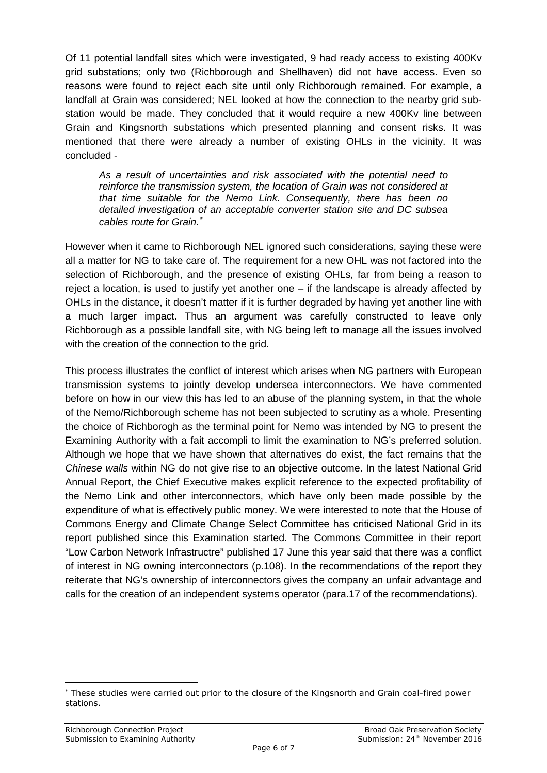Of 11 potential landfall sites which were investigated, 9 had ready access to existing 400Kv grid substations; only two (Richborough and Shellhaven) did not have access. Even so reasons were found to reject each site until only Richborough remained. For example, a landfall at Grain was considered; NEL looked at how the connection to the nearby grid substation would be made. They concluded that it would require a new 400Kv line between Grain and Kingsnorth substations which presented planning and consent risks. It was mentioned that there were already a number of existing OHLs in the vicinity. It was concluded -

*As a result of uncertainties and risk associated with the potential need to reinforce the transmission system, the location of Grain was not considered at that time suitable for the Nemo Link. Consequently, there has been no detailed investigation of an acceptable converter station site and DC subsea cables route for Grain.*

However when it came to Richborough NEL ignored such considerations, saying these were all a matter for NG to take care of. The requirement for a new OHL was not factored into the selection of Richborough, and the presence of existing OHLs, far from being a reason to reject a location, is used to justify yet another one – if the landscape is already affected by OHLs in the distance, it doesn't matter if it is further degraded by having yet another line with a much larger impact. Thus an argument was carefully constructed to leave only Richborough as a possible landfall site, with NG being left to manage all the issues involved with the creation of the connection to the grid.

This process illustrates the conflict of interest which arises when NG partners with European transmission systems to jointly develop undersea interconnectors. We have commented before on how in our view this has led to an abuse of the planning system, in that the whole of the Nemo/Richborough scheme has not been subjected to scrutiny as a whole. Presenting the choice of Richborogh as the terminal point for Nemo was intended by NG to present the Examining Authority with a fait accompli to limit the examination to NG's preferred solution. Although we hope that we have shown that alternatives do exist, the fact remains that the *Chinese walls* within NG do not give rise to an objective outcome. In the latest National Grid Annual Report, the Chief Executive makes explicit reference to the expected profitability of the Nemo Link and other interconnectors, which have only been made possible by the expenditure of what is effectively public money. We were interested to note that the House of Commons Energy and Climate Change Select Committee has criticised National Grid in its report published since this Examination started. The Commons Committee in their report "Low Carbon Network Infrastructre" published 17 June this year said that there was a conflict of interest in NG owning interconnectors (p.108). In the recommendations of the report they reiterate that NG's ownership of interconnectors gives the company an unfair advantage and calls for the creation of an independent systems operator (para.17 of the recommendations).

These studies were carried out prior to the closure of the Kingsnorth and Grain coal-fired power stations.